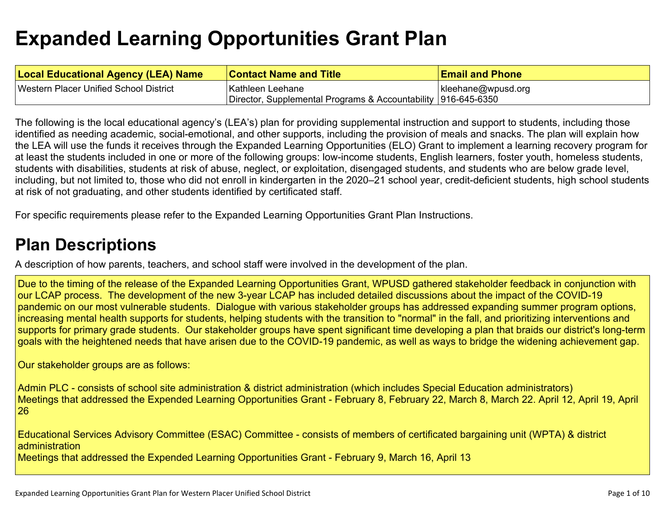# **Expanded Learning [Opportunities](#page-6-0) Grant Plan**

| <b>Local Educational Agency (LEA) Name</b> | <b>Contact Name and Title</b>                                 | <b>Email and Phone</b> |
|--------------------------------------------|---------------------------------------------------------------|------------------------|
| Western Placer Unified School District     | Kathleen Leehane                                              | kleehane@wpusd.org     |
|                                            | Director, Supplemental Programs & Accountability 916-645-6350 |                        |

The following is the local educational agency's (LEA's) plan for providing supplemental instruction and support to students, including those identified as needing academic, social-emotional, and other supports, including the provision of meals and snacks. The plan will explain how the LEA will use the funds it receives through the Expanded Learning Opportunities (ELO) Grant to implement a learning recovery program for at least the students included in one or more of the following groups: low-income students, English learners, foster youth, homeless students, students with disabilities, students at risk of abuse, neglect, or exploitation, disengaged students, and students who are below grade level, including, but not limited to, those who did not enroll in kindergarten in the 2020–21 school year, credit-deficient students, high school students at risk of not graduating, and other students identified by certificated staff.

For specific requirements please refer to the Expanded Learning Opportunities Grant Plan Instructions.

# **Plan [Descriptions](#page-8-0)**

A description of how parents, teachers, and school staff were involved in the [development](#page-8-1) of the plan.

Due to the timing of the release of the Expanded Learning Opportunities Grant, WPUSD gathered stakeholder feedback in conjunction with our LCAP process. The development of the new 3-year LCAP has included detailed discussions about the impact of the COVID-19 pandemic on our most vulnerable students. Dialogue with various stakeholder groups has addressed expanding summer program options, increasing mental health supports for students, helping students with the transition to "normal" in the fall, and prioritizing interventions and supports for primary grade students. Our stakeholder groups have spent significant time developing a plan that braids our district's long-term goals with the heightened needs that have arisen due to the COVID-19 pandemic, as well as ways to bridge the widening achievement gap.

Our stakeholder groups are as follows:

Admin PLC - consists of school site administration & district administration (which includes Special Education administrators) Meetings that addressed the Expended Learning Opportunities Grant - February 8, February 22, March 8, March 22. April 12, April 19, April 26

Educational Services Advisory Committee (ESAC) Committee - consists of members of certificated bargaining unit (WPTA) & district administration

Meetings that addressed the Expended Learning Opportunities Grant - February 9, March 16, April 13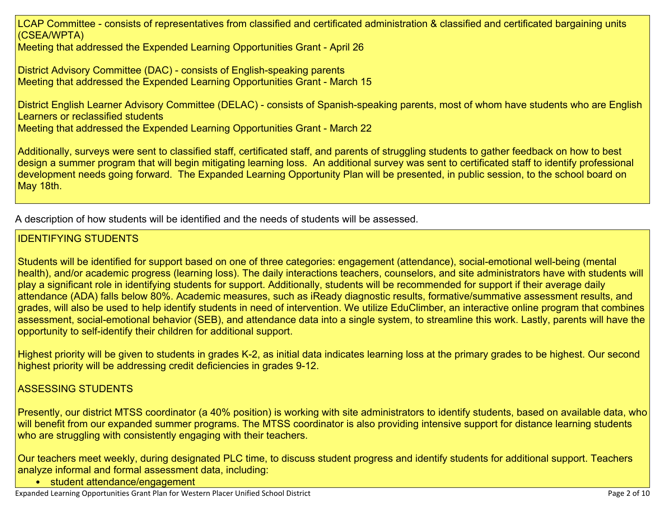LCAP Committee - consists of representatives from classified and certificated administration & classified and certificated bargaining units (CSEA/WPTA)

Meeting that addressed the Expended Learning Opportunities Grant - April 26

District Advisory Committee (DAC) - consists of English-speaking parents Meeting that addressed the Expended Learning Opportunities Grant - March 15

District English Learner Advisory Committee (DELAC) - consists of Spanish-speaking parents, most of whom have students who are English Learners or reclassified students Meeting that addressed the Expended Learning Opportunities Grant - March 22

Additionally, surveys were sent to classified staff, certificated staff, and parents of struggling students to gather feedback on how to best design a summer program that will begin mitigating learning loss. An additional survey was sent to certificated staff to identify professional development needs going forward. The Expanded Learning Opportunity Plan will be presented, in public session, to the school board on May 18th.

A [description](#page-8-2) of how students will be identified and the needs of students will be assessed[.](#page-8-2)

### IDENTIFYING STUDENTS

Students will be identified for support based on one of three categories: engagement (attendance), social-emotional well-being (mental health), and/or academic progress (learning loss). The daily interactions teachers, counselors, and site administrators have with students will play a significant role in identifying students for support. Additionally, students will be recommended for support if their average daily attendance (ADA) falls below 80%. Academic measures, such as iReady diagnostic results, formative/summative assessment results, and grades, will also be used to help identify students in need of intervention. We utilize EduClimber, an interactive online program that combines assessment, social-emotional behavior (SEB), and attendance data into a single system, to streamline this work. Lastly, parents will have the opportunity to self-identify their children for additional support.

Highest priority will be given to students in grades K-2, as initial data indicates learning loss at the primary grades to be highest. Our second highest priority will be addressing credit deficiencies in grades 9-12.

### ASSESSING STUDENTS

Presently, our district MTSS coordinator (a 40% position) is working with site administrators to identify students, based on available data, who will benefit from our expanded summer programs. The MTSS coordinator is also providing intensive support for distance learning students who are struggling with consistently engaging with their teachers.

Our teachers meet weekly, during designated PLC time, to discuss student progress and identify students for additional support. Teachers analyze informal and formal assessment data, including:

• student attendance/engagement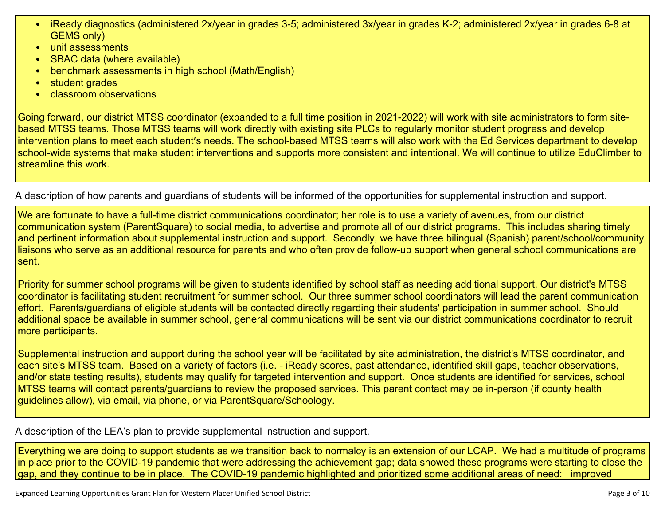- iReady diagnostics (administered 2x/year in grades 3-5; administered 3x/year in grades K-2; administered 2x/year in grades 6-8 at GEMS only)
- unit assessments
- SBAC data (where available)
- benchmark assessments in high school (Math/English)
- student grades
- classroom observations

Going forward, our district MTSS coordinator (expanded to a full time position in 2021-2022) will work with site administrators to form sitebased MTSS teams. Those MTSS teams will work directly with existing site PLCs to regularly monitor student progress and develop intervention plans to meet each student's needs. The school-based MTSS teams will also work with the Ed Services department to develop school-wide systems that make student interventions and supports more consistent and intentional. We will continue to utilize EduClimber to streamline this work.

A description of how parents and guardians of students will be informed of the opportunities for [supplemental](#page-8-3) instruction and support[.](#page-8-3)

We are fortunate to have a full-time district communications coordinator; her role is to use a variety of avenues, from our district communication system (ParentSquare) to social media, to advertise and promote all of our district programs. This includes sharing timely and pertinent information about supplemental instruction and support. Secondly, we have three bilingual (Spanish) parent/school/community liaisons who serve as an additional resource for parents and who often provide follow-up support when general school communications are sent.

Priority for summer school programs will be given to students identified by school staff as needing additional support. Our district's MTSS coordinator is facilitating student recruitment for summer school. Our three summer school coordinators will lead the parent communication effort. Parents/guardians of eligible students will be contacted directly regarding their students' participation in summer school. Should additional space be available in summer school, general communications will be sent via our district communications coordinator to recruit more participants.

Supplemental instruction and support during the school year will be facilitated by site administration, the district's MTSS coordinator, and each site's MTSS team. Based on a variety of factors (i.e. - iReady scores, past attendance, identified skill gaps, teacher observations, and/or state testing results), students may qualify for targeted intervention and support. Once students are identified for services, school MTSS teams will contact parents/guardians to review the proposed services. This parent contact may be in-person (if county health guidelines allow), via email, via phone, or via ParentSquare/Schoology.

A description of the LEA's plan to provide [supplemental](#page-8-4) instruction and support[.](#page-8-4)

Everything we are doing to support students as we transition back to normalcy is an extension of our LCAP. We had a multitude of programs in place prior to the COVID-19 pandemic that were addressing the achievement gap; data showed these programs were starting to close the gap, and they continue to be in place. The COVID-19 pandemic highlighted and prioritized some additional areas of need: improved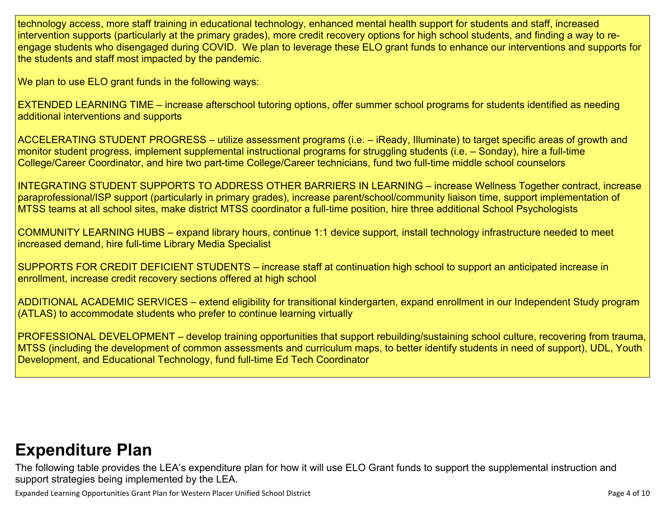technology access, more staff training in educational technology, enhanced mental health support for students and staff, increased intervention supports (particularly at the primary grades), more credit recovery options for high school students, and finding a way to reengage students who disengaged during COVID. We plan to leverage these ELO grant funds to enhance our interventions and supports for the students and staff most impacted by the pandemic.

We plan to use ELO grant funds in the following ways:

EXTENDED LEARNING TIME – increase afterschool tutoring options, offer summer school programs for students identified as needing additional interventions and supports

ACCELERATING STUDENT PROGRESS – utilize assessment programs (i.e. – iReady, Illuminate) to target specific areas of growth and monitor student progress, implement supplemental instructional programs for struggling students (i.e. – Sonday), hire a full-time College/Career Coordinator, and hire two part-time College/Career technicians, fund two full-time middle school counselors

INTEGRATING STUDENT SUPPORTS TO ADDRESS OTHER BARRIERS IN LEARNING – increase Wellness Together contract, increase paraprofessional/ISP support (particularly in primary grades), increase parent/school/community liaison time, support implementation of MTSS teams at all school sites, make district MTSS coordinator a full-time position, hire three additional School Psychologists

COMMUNITY LEARNING HUBS – expand library hours, continue 1:1 device support, install technology infrastructure needed to meet increased demand, hire full-time Library Media Specialist

SUPPORTS FOR CREDIT DEFICIENT STUDENTS – increase staff at continuation high school to support an anticipated increase in enrollment, increase credit recovery sections offered at high school

ADDITIONAL ACADEMIC SERVICES – extend eligibility for transitional kindergarten, expand enrollment in our Independent Study program (ATLAS) to accommodate students who prefer to continue learning virtually

PROFESSIONAL DEVELOPMENT – develop training opportunities that support rebuilding/sustaining school culture, recovering from trauma, MTSS (including the development of common assessments and curriculum maps, to better identify students in need of support), UDL, Youth Development, and Educational Technology, fund full-time Ed Tech Coordinator

# **[Expenditure](#page-9-0) Pla[n](#page-9-0)**

The following table provides the LEA's expenditure plan for how it will use ELO Grant funds to support the supplemental instruction and support strategies being implemented by the LEA.

Expanded Learning Opportunities Grant Plan for Western Placer Unified School District **Page 1 of 10** Page 4 of 10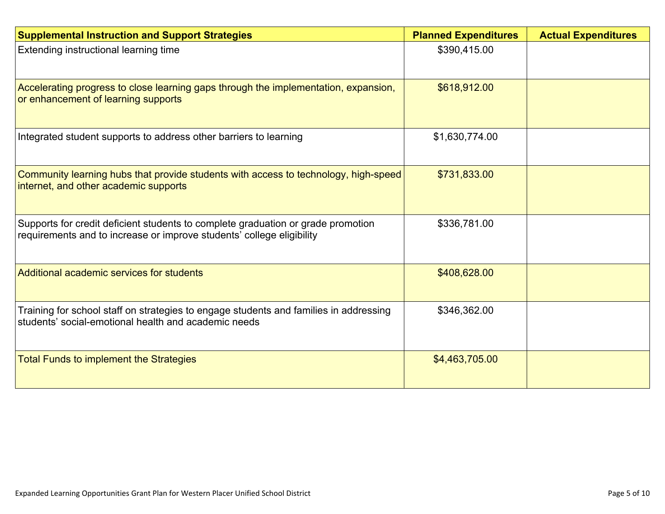| <b>Supplemental Instruction and Support Strategies</b>                                                                                                    | <b>Planned Expenditures</b> | <b>Actual Expenditures</b> |
|-----------------------------------------------------------------------------------------------------------------------------------------------------------|-----------------------------|----------------------------|
| Extending instructional learning time                                                                                                                     | \$390,415.00                |                            |
| Accelerating progress to close learning gaps through the implementation, expansion,<br>or enhancement of learning supports                                | \$618,912.00                |                            |
| Integrated student supports to address other barriers to learning                                                                                         | \$1,630,774.00              |                            |
| Community learning hubs that provide students with access to technology, high-speed<br>internet, and other academic supports                              | \$731,833.00                |                            |
| Supports for credit deficient students to complete graduation or grade promotion<br>requirements and to increase or improve students' college eligibility | \$336,781.00                |                            |
| Additional academic services for students                                                                                                                 | \$408,628.00                |                            |
| Training for school staff on strategies to engage students and families in addressing<br>students' social-emotional health and academic needs             | \$346,362.00                |                            |
| <b>Total Funds to implement the Strategies</b>                                                                                                            | \$4,463,705.00              |                            |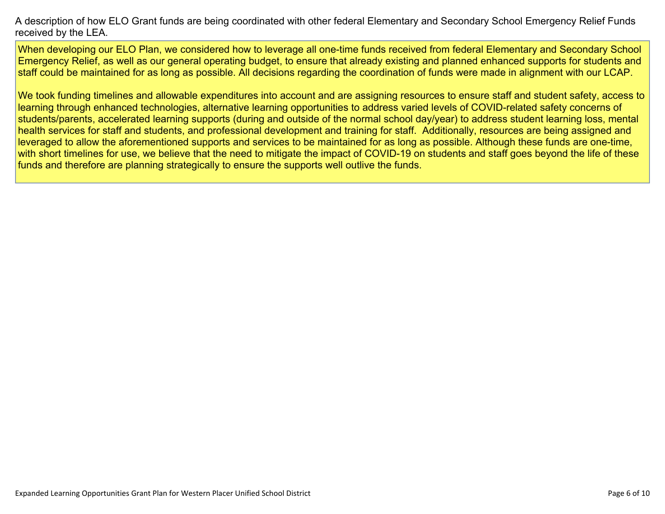A description of how ELO Grant funds are being [coordinated](#page-9-1) with other federal Elementary and Secondary School Emergency Relief Funds [received](#page-9-1) by the LEA.

When developing our ELO Plan, we considered how to leverage all one-time funds received from federal Elementary and Secondary School Emergency Relief, as well as our general operating budget, to ensure that already existing and planned enhanced supports for students and staff could be maintained for as long as possible. All decisions regarding the coordination of funds were made in alignment with our LCAP.

We took funding timelines and allowable expenditures into account and are assigning resources to ensure staff and student safety, access to learning through enhanced technologies, alternative learning opportunities to address varied levels of COVID-related safety concerns of students/parents, accelerated learning supports (during and outside of the normal school day/year) to address student learning loss, mental health services for staff and students, and professional development and training for staff. Additionally, resources are being assigned and leveraged to allow the aforementioned supports and services to be maintained for as long as possible. Although these funds are one-time, with short timelines for use, we believe that the need to mitigate the impact of COVID-19 on students and staff goes beyond the life of these funds and therefore are planning strategically to ensure the supports well outlive the funds.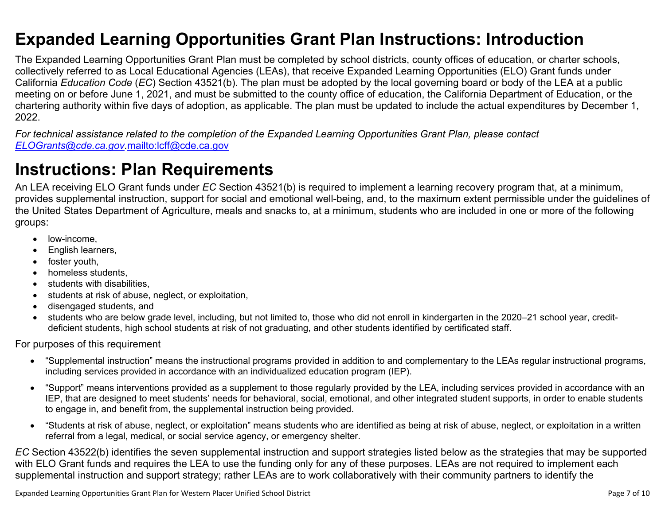### <span id="page-6-0"></span>**Expanded Learning Opportunities Grant Plan Instructions: Introduction**

The Expanded Learning Opportunities Grant Plan must be completed by school districts, county offices of education, or charter schools, collectively referred to as Local Educational Agencies (LEAs), that receive Expanded Learning Opportunities (ELO) Grant funds under California *Education Code* (*EC*) Section 43521(b). The plan must be adopted by the local governing board or body of the LEA at a public meeting on or before June 1, 2021, and must be submitted to the county office of education, the California Department of Education, or the chartering authority within five days of adoption, as applicable. The plan must be updated to include the actual expenditures by December 1, 2022.

For technical assistance related to the completion of the Expanded Learning Opportunities Grant Plan, please contact *[ELOGrants@cde.ca.gov](mailto:ELOGrants@cde.ca.gov).*<mailto:lcff@cde.ca.gov>

# **Instructions: Plan Requirements**

An LEA receiving ELO Grant funds under *EC* Section 43521(b) is required to implement a learning recovery program that, at a minimum, provides supplemental instruction, support for social and emotional well-being, and, to the maximum extent permissible under the guidelines of the United States Department of Agriculture, meals and snacks to, at a minimum, students who are included in one or more of the following groups:

- low-income.
- English learners,
- foster youth,
- homeless students,
- students with disabilities.
- students at risk of abuse, neglect, or exploitation,
- disengaged students, and
- students who are below grade level, including, but not limited to, those who did not enroll in kindergarten in the 2020–21 school year, creditdeficient students, high school students at risk of not graduating, and other students identified by certificated staff.

For purposes of this requirement

- "Supplemental instruction" means the instructional programs provided in addition to and complementary to the LEAs regular instructional programs, including services provided in accordance with an individualized education program (IEP).
- "Support" means interventions provided as a supplement to those regularly provided by the LEA, including services provided in accordance with an IEP, that are designed to meet students' needs for behavioral, social, emotional, and other integrated student supports, in order to enable students to engage in, and benefit from, the supplemental instruction being provided.
- "Students at risk of abuse, neglect, or exploitation" means students who are identified as being at risk of abuse, neglect, or exploitation in a written referral from a legal, medical, or social service agency, or emergency shelter.

*EC* Section 43522(b) identifies the seven supplemental instruction and support strategies listed below as the strategies that may be supported with ELO Grant funds and requires the LEA to use the funding only for any of these purposes. LEAs are not required to implement each supplemental instruction and support strategy; rather LEAs are to work collaboratively with their community partners to identify the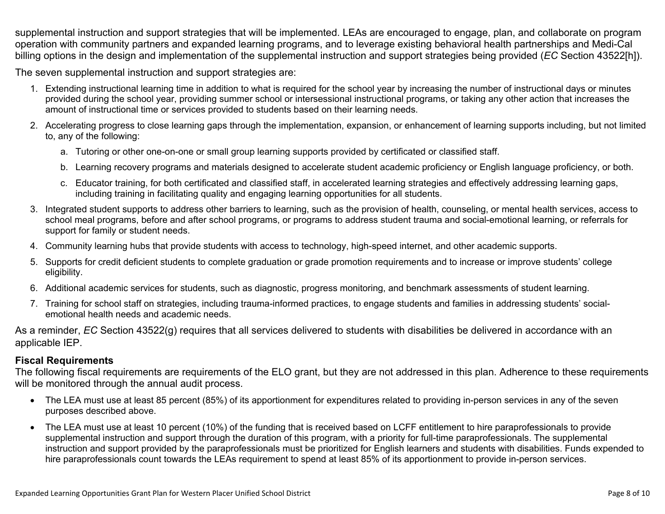supplemental instruction and support strategies that will be implemented. LEAs are encouraged to engage, plan, and collaborate on program operation with community partners and expanded learning programs, and to leverage existing behavioral health partnerships and Medi-Cal billing options in the design and implementation of the supplemental instruction and support strategies being provided (*EC* Section 43522[h]).

The seven supplemental instruction and support strategies are:

- 1. Extending instructional learning time in addition to what is required for the school year by increasing the number of instructional days or minutes provided during the school year, providing summer school or intersessional instructional programs, or taking any other action that increases the amount of instructional time or services provided to students based on their learning needs.
- 2. Accelerating progress to close learning gaps through the implementation, expansion, or enhancement of learning supports including, but not limited to, any of the following:
	- a. Tutoring or other one-on-one or small group learning supports provided by certificated or classified staff.
	- b. Learning recovery programs and materials designed to accelerate student academic proficiency or English language proficiency, or both.
	- c. Educator training, for both certificated and classified staff, in accelerated learning strategies and effectively addressing learning gaps, including training in facilitating quality and engaging learning opportunities for all students.
- 3. Integrated student supports to address other barriers to learning, such as the provision of health, counseling, or mental health services, access to school meal programs, before and after school programs, or programs to address student trauma and social-emotional learning, or referrals for support for family or student needs.
- 4. Community learning hubs that provide students with access to technology, high-speed internet, and other academic supports.
- 5. Supports for credit deficient students to complete graduation or grade promotion requirements and to increase or improve students' college eligibility.
- 6. Additional academic services for students, such as diagnostic, progress monitoring, and benchmark assessments of student learning.
- 7. Training for school staff on strategies, including trauma-informed practices, to engage students and families in addressing students' socialemotional health needs and academic needs.

As a reminder, *EC* Section 43522(g) requires that all services delivered to students with disabilities be delivered in accordance with an applicable IEP.

### **Fiscal Requirements**

The following fiscal requirements are requirements of the ELO grant, but they are not addressed in this plan. Adherence to these requirements will be monitored through the annual audit process.

- The LEA must use at least 85 percent (85%) of its apportionment for expenditures related to providing in-person services in any of the seven purposes described above.
- The LEA must use at least 10 percent (10%) of the funding that is received based on LCFF entitlement to hire paraprofessionals to provide supplemental instruction and support through the duration of this program, with a priority for full-time paraprofessionals. The supplemental instruction and support provided by the paraprofessionals must be prioritized for English learners and students with disabilities. Funds expended to hire paraprofessionals count towards the LEAs requirement to spend at least 85% of its apportionment to provide in-person services.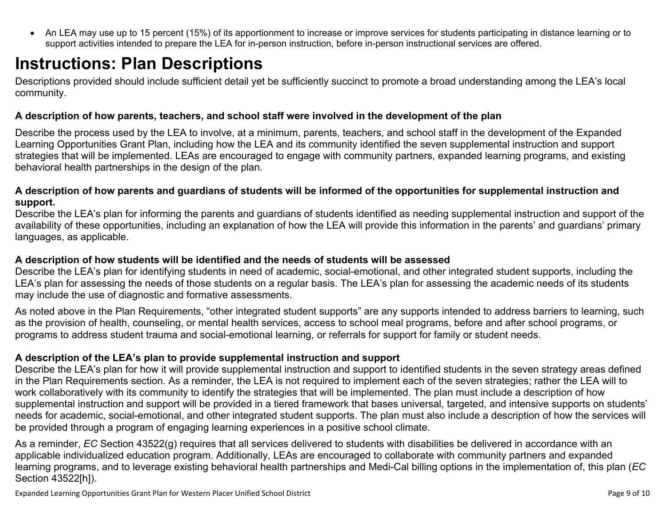<span id="page-8-0"></span> An LEA may use up to 15 percent (15%) of its apportionment to increase or improve services for students participating in distance learning or to support activities intended to prepare the LEA for in-person instruction, before in-person instructional services are offered.

# **Instructions: Plan Descriptions**

Descriptions provided should include sufficient detail yet be sufficiently succinct to promote a broad understanding among the LEA's local community.

### <span id="page-8-1"></span>**A description of how parents, teachers, and school staff were involved in the development of the plan**

Describe the process used by the LEA to involve, at a minimum, parents, teachers, and school staff in the development of the Expanded Learning Opportunities Grant Plan, including how the LEA and its community identified the seven supplemental instruction and support strategies that will be implemented. LEAs are encouraged to engage with community partners, expanded learning programs, and existing behavioral health partnerships in the design of the plan.

### <span id="page-8-2"></span>A description of how parents and guardians of students will be informed of the opportunities for supplemental instruction and **support.**

Describe the LEA's plan for informing the parents and guardians of students identified as needing supplemental instruction and support of the availability of these opportunities, including an explanation of how the LEA will provide this information in the parents' and guardians' primary languages, as applicable.

### <span id="page-8-3"></span>**A description of how students will be identified and the needs of students will be assessed**

Describe the LEA's plan for identifying students in need of academic, social-emotional, and other integrated student supports, including the LEA's plan for assessing the needs of those students on a regular basis. The LEA's plan for assessing the academic needs of its students may include the use of diagnostic and formative assessments.

As noted above in the Plan Requirements, "other integrated student supports" are any supports intended to address barriers to learning, such as the provision of health, counseling, or mental health services, access to school meal programs, before and after school programs, or programs to address student trauma and social-emotional learning, or referrals for support for family or student needs.

### <span id="page-8-4"></span>**A description of the LEA's plan to provide supplemental instruction and support**

Describe the LEA's plan for how it will provide supplemental instruction and support to identified students in the seven strategy areas defined in the Plan Requirements section. As a reminder, the LEA is not required to implement each of the seven strategies; rather the LEA will to work collaboratively with its community to identify the strategies that will be implemented. The plan must include a description of how supplemental instruction and support will be provided in a tiered framework that bases universal, targeted, and intensive supports on students' needs for academic, social-emotional, and other integrated student supports. The plan must also include a description of how the services will be provided through a program of engaging learning experiences in a positive school climate.

As a reminder, *EC* Section 43522(g) requires that all services delivered to students with disabilities be delivered in accordance with an applicable individualized education program. Additionally, LEAs are encouraged to collaborate with community partners and expanded learning programs, and to leverage existing behavioral health partnerships and Medi-Cal billing options in the implementation of, this plan (*EC* Section 43522[h]).